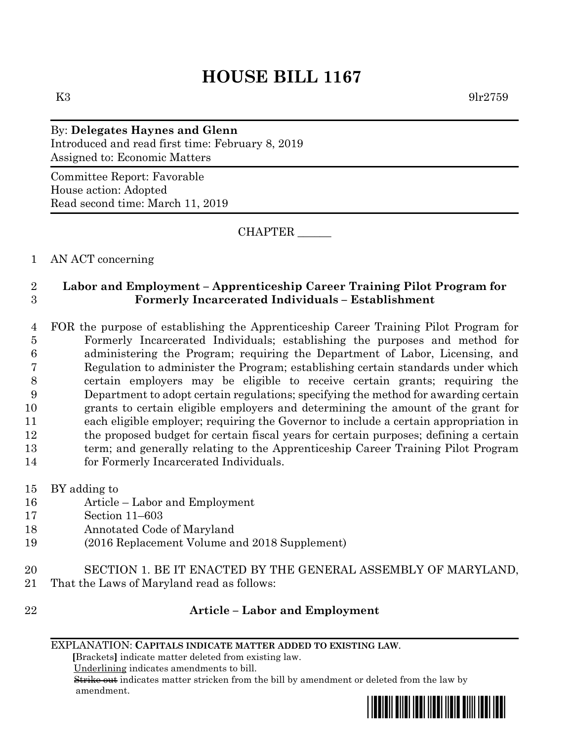# **HOUSE BILL 1167**

K3 9lr2759

## By: **Delegates Haynes and Glenn** Introduced and read first time: February 8, 2019 Assigned to: Economic Matters

Committee Report: Favorable House action: Adopted Read second time: March 11, 2019

CHAPTER \_\_\_\_\_\_

1 AN ACT concerning

### 2 **Labor and Employment – Apprenticeship Career Training Pilot Program for**  3 **Formerly Incarcerated Individuals – Establishment**

 FOR the purpose of establishing the Apprenticeship Career Training Pilot Program for Formerly Incarcerated Individuals; establishing the purposes and method for administering the Program; requiring the Department of Labor, Licensing, and Regulation to administer the Program; establishing certain standards under which certain employers may be eligible to receive certain grants; requiring the Department to adopt certain regulations; specifying the method for awarding certain grants to certain eligible employers and determining the amount of the grant for each eligible employer; requiring the Governor to include a certain appropriation in the proposed budget for certain fiscal years for certain purposes; defining a certain term; and generally relating to the Apprenticeship Career Training Pilot Program for Formerly Incarcerated Individuals.

- 15 BY adding to
- 16 Article Labor and Employment
- 17 Section 11–603
- 18 Annotated Code of Maryland
- 19 (2016 Replacement Volume and 2018 Supplement)
- 20 SECTION 1. BE IT ENACTED BY THE GENERAL ASSEMBLY OF MARYLAND, 21 That the Laws of Maryland read as follows:
- 

## 22 **Article – Labor and Employment**

#### EXPLANATION: **CAPITALS INDICATE MATTER ADDED TO EXISTING LAW**.

 **[**Brackets**]** indicate matter deleted from existing law.

Underlining indicates amendments to bill.

 Strike out indicates matter stricken from the bill by amendment or deleted from the law by amendment.

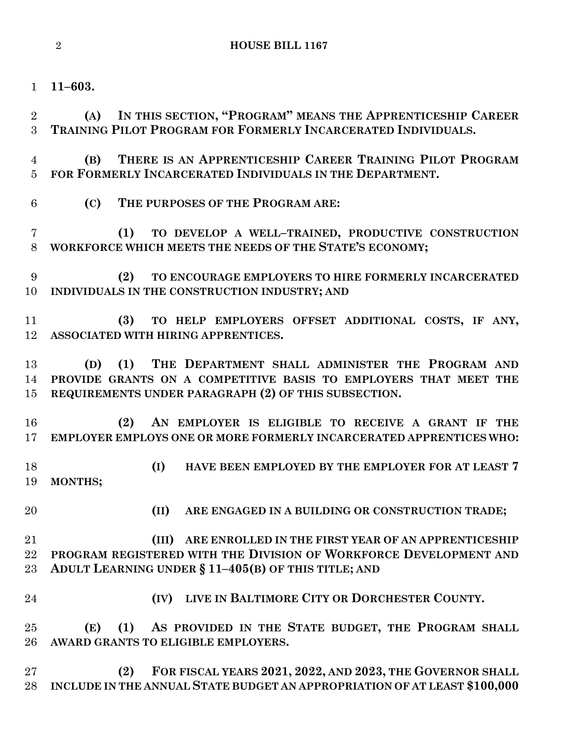**11–603.**

 **(A) IN THIS SECTION, "PROGRAM" MEANS THE APPRENTICESHIP CAREER TRAINING PILOT PROGRAM FOR FORMERLY INCARCERATED INDIVIDUALS.**

 **(B) THERE IS AN APPRENTICESHIP CAREER TRAINING PILOT PROGRAM FOR FORMERLY INCARCERATED INDIVIDUALS IN THE DEPARTMENT.**

**(C) THE PURPOSES OF THE PROGRAM ARE:**

 **(1) TO DEVELOP A WELL–TRAINED, PRODUCTIVE CONSTRUCTION WORKFORCE WHICH MEETS THE NEEDS OF THE STATE'S ECONOMY;**

 **(2) TO ENCOURAGE EMPLOYERS TO HIRE FORMERLY INCARCERATED INDIVIDUALS IN THE CONSTRUCTION INDUSTRY; AND**

 **(3) TO HELP EMPLOYERS OFFSET ADDITIONAL COSTS, IF ANY, ASSOCIATED WITH HIRING APPRENTICES.**

 **(D) (1) THE DEPARTMENT SHALL ADMINISTER THE PROGRAM AND PROVIDE GRANTS ON A COMPETITIVE BASIS TO EMPLOYERS THAT MEET THE REQUIREMENTS UNDER PARAGRAPH (2) OF THIS SUBSECTION.**

 **(2) AN EMPLOYER IS ELIGIBLE TO RECEIVE A GRANT IF THE EMPLOYER EMPLOYS ONE OR MORE FORMERLY INCARCERATED APPRENTICES WHO:**

 **(I) HAVE BEEN EMPLOYED BY THE EMPLOYER FOR AT LEAST 7 MONTHS;**

**(II) ARE ENGAGED IN A BUILDING OR CONSTRUCTION TRADE;**

 **(III) ARE ENROLLED IN THE FIRST YEAR OF AN APPRENTICESHIP PROGRAM REGISTERED WITH THE DIVISION OF WORKFORCE DEVELOPMENT AND ADULT LEARNING UNDER § 11–405(B) OF THIS TITLE; AND**

**(IV) LIVE IN BALTIMORE CITY OR DORCHESTER COUNTY.**

 **(E) (1) AS PROVIDED IN THE STATE BUDGET, THE PROGRAM SHALL AWARD GRANTS TO ELIGIBLE EMPLOYERS.**

 **(2) FOR FISCAL YEARS 2021, 2022, AND 2023, THE GOVERNOR SHALL INCLUDE IN THE ANNUAL STATE BUDGET AN APPROPRIATION OF AT LEAST \$100,000**